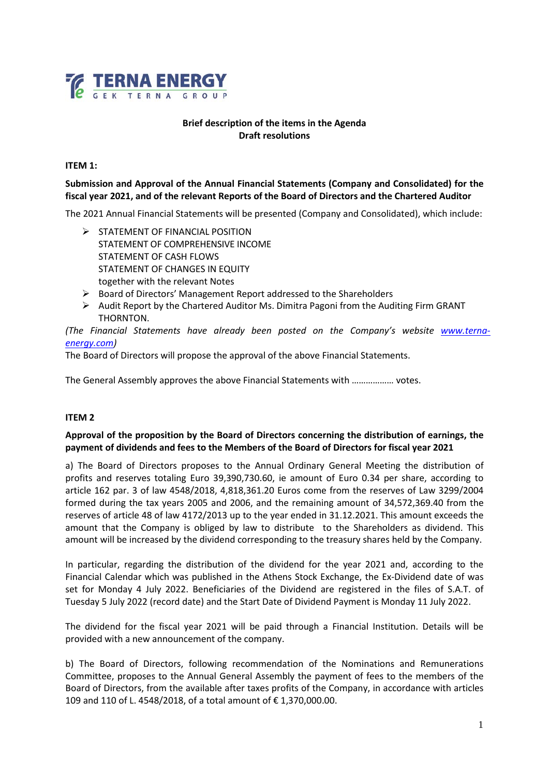

## **Brief description of the items in the Agenda Draft resolutions**

#### **ITEM 1:**

## **Submission and Approval of the Annual Financial Statements (Company and Consolidated) for the fiscal year 2021, and of the relevant Reports of the Board of Directors and the Chartered Auditor**

The 2021 Annual Financial Statements will be presented (Company and Consolidated), which include:

- $\triangleright$  STATEMENT OF FINANCIAL POSITION STATEMENT OF COMPREHENSIVE INCOME STATEMENT OF CASH FLOWS STATEMENT OF CHANGES IN EQUITY together with the relevant Notes
- Board of Directors' Management Report addressed to the Shareholders
- $\triangleright$  Audit Report by the Chartered Auditor Ms. Dimitra Pagoni from the Auditing Firm GRANT THORNTON.

(The Financial Statements have already been posted on the Company's website **[www.terna](http://www.terna-energy.com/)***[energy.com\)](http://www.terna-energy.com/)* 

The Board of Directors will propose the approval of the above Financial Statements.

The General Assembly approves the above Financial Statements with ……………… votes.

#### **ITEM 2**

## **Approval of the proposition by the Board of Directors concerning the distribution of earnings, the payment of dividends and fees to the Members of the Board of Directors for fiscal year 2021**

a) The Board of Directors proposes to the Annual Ordinary General Meeting the distribution of profits and reserves totaling Euro 39,390,730.60, ie amount of Euro 0.34 per share, according to article 162 par. 3 of law 4548/2018, 4,818,361.20 Euros come from the reserves of Law 3299/2004 formed during the tax years 2005 and 2006, and the remaining amount of 34,572,369.40 from the reserves of article 48 of law 4172/2013 up to the year ended in 31.12.2021. This amount exceeds the amount that the Company is obliged by law to distribute to the Shareholders as dividend. This amount will be increased by the dividend corresponding to the treasury shares held by the Company.

In particular, regarding the distribution of the dividend for the year 2021 and, according to the Financial Calendar which was published in the Athens Stock Exchange, the Ex-Dividend date of was set for Monday 4 July 2022. Beneficiaries of the Dividend are registered in the files of S.A.T. of Tuesday 5 July 2022 (record date) and the Start Date of Dividend Payment is Monday 11 July 2022.

The dividend for the fiscal year 2021 will be paid through a Financial Institution. Details will be provided with a new announcement of the company.

b) The Board of Directors, following recommendation of the Nominations and Remunerations Committee, proposes to the Annual General Assembly the payment of fees to the members of the Board of Directors, from the available after taxes profits of the Company, in accordance with articles 109 and 110 of L. 4548/2018, of a total amount of € 1,370,000.00.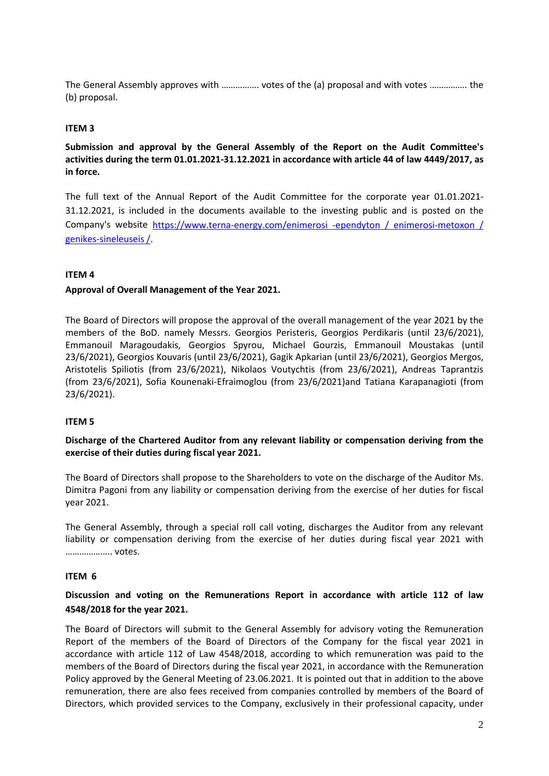The General Assembly approves with ……………. votes of the (a) proposal and with votes ……………. the (b) proposal.

## **ITEM 3**

**Submission and approval by the General Assembly of the Report on the Audit Committee's activities during the term 01.01.2021-31.12.2021 in accordance with article 44 of law 4449/2017, as in force.**

The full text of the Annual Report of the Audit Committee for the corporate year 01.01.2021- 31.12.2021, is included in the documents available to the investing public and is posted on the Company's website [https://www.terna-energy.com/enimerosi -ependyton / enimerosi-metoxon /](https://www.terna-energy.com/enimerosi%20-ependyton%20/%20enimerosi-metoxon%20/%20genikes-sineleuseis%20/)  [genikes-sineleuseis /.](https://www.terna-energy.com/enimerosi%20-ependyton%20/%20enimerosi-metoxon%20/%20genikes-sineleuseis%20/)

## **ITEM 4**

## **Approval of Overall Management of the Year 2021.**

The Board of Directors will propose the approval of the overall management of the year 2021 by the members of the BoD. namely Messrs. Georgios Peristeris, Georgios Perdikaris (until 23/6/2021), Emmanouil Maragoudakis, Georgios Spyrou, Michael Gourzis, Emmanouil Moustakas (until 23/6/2021), Georgios Kouvaris (until 23/6/2021), Gagik Apkarian (until 23/6/2021), Georgios Mergos, Aristotelis Spiliotis (from 23/6/2021), Nikolaos Voutychtis (from 23/6/2021), Andreas Taprantzis (from 23/6/2021), Sofia Kounenaki-Efraimoglou (from 23/6/2021)and Tatiana Karapanagioti (from 23/6/2021).

#### **ITEM 5**

## **Discharge of the Chartered Auditor from any relevant liability or compensation deriving from the exercise of their duties during fiscal year 2021.**

The Board of Directors shall propose to the Shareholders to vote on the discharge of the Auditor Ms. Dimitra Pagoni from any liability or compensation deriving from the exercise of her duties for fiscal year 2021.

The General Assembly, through a special roll call voting, discharges the Auditor from any relevant liability or compensation deriving from the exercise of her duties during fiscal year 2021 with ……………….. votes.

#### **ΙTEM 6**

# **Discussion and voting on the Remunerations Report in accordance with article 112 of law 4548/2018 for the year 2021.**

The Board of Directors will submit to the General Assembly for advisory voting the Remuneration Report of the members of the Board of Directors of the Company for the fiscal year 2021 in accordance with article 112 of Law 4548/2018, according to which remuneration was paid to the members of the Board of Directors during the fiscal year 2021, in accordance with the Remuneration Policy approved by the General Meeting of 23.06.2021. It is pointed out that in addition to the above remuneration, there are also fees received from companies controlled by members of the Board of Directors, which provided services to the Company, exclusively in their professional capacity, under